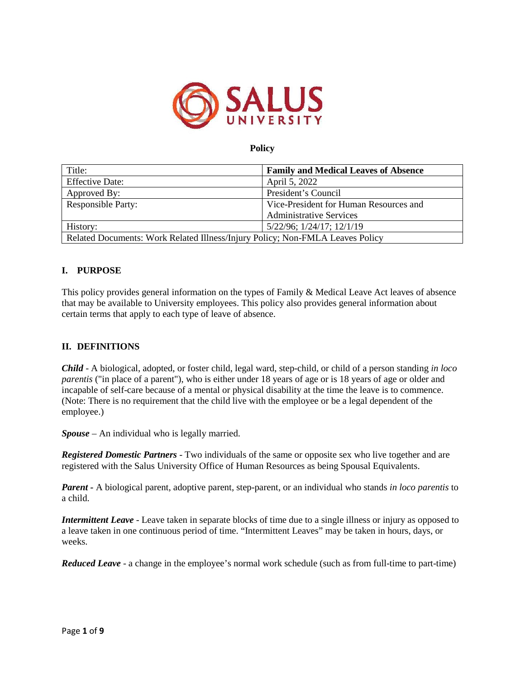

*Child - iological adopted or is exterchild legal ard step-child or child o a person standing in loco parentis in place o a parent ois eit er n er* **ears o a e or is**  $\epsilon$ ars o a e or oler an incapa le o sel care eca se o a ental or p sical isa ilit at *tetiete leae is to co*ence

*nte* ere is no re ire entt attec il lie it tee ploee or ea le al epen ento *t* e e plo ee

**Spouse** *nindividual hois legall married* 

*Registered Domestic Partners - 0 individuals the same or oppositese ho live togetherand are registered ith the Salus niversit ice o* inman Resouras eeing Spousal uivalents *uivalents* 

**Parent - iologica parent adoptive parent step-parent or an individual ho stands in loco** *parentis* to a c *il* 

*Intermittent Leave - Leave ta en inseparate locs o time due toa singleillnessor in ur as opposed to a leave ta en inone continuous period o time Intermittent Leaves ma eta en in hours da s or ee s* 

*Reduced Leave - a change in the emplo* ee s normal orschedule suchas rom ull-tme to *part-time*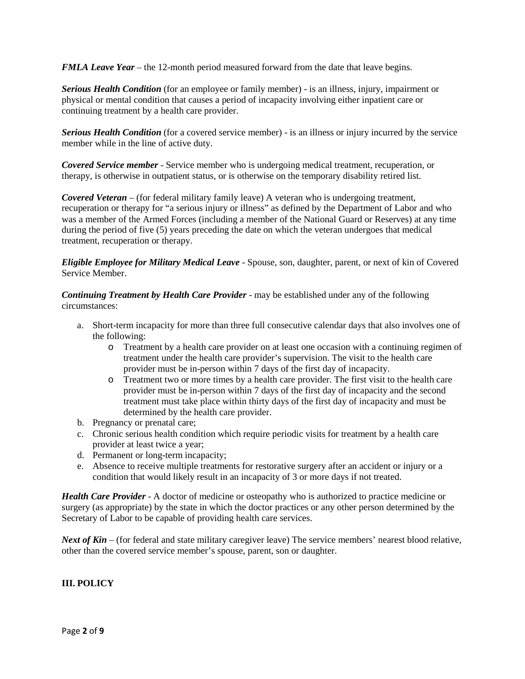*FMLA Leave Year* – the 12-month period measured forward from the date that leave begins.

*Serious Health Condition* (for an employee or family member) - is an illness, injury, impairment or physical or mental condition that causes a period of incapacity involving either inpatient care or continuing treatment by a health care provider.

**Serious Health Condition** (for a covered service member) - is an illness or injury incurred by the service member while in the line of active duty.

*Covered Service member* - Service member who is undergoing medical treatment, recuperation, or therapy, is otherwise in outpatient status, or is otherwise on the temporary disability retired list.

*Covered Veteran* – (for federal military family leave) A veteran who is undergoing treatment, recuperation or therapy for "a serious injury or illness" as defined by the Department of Labor and who was a member of the Armed Forces (including a member of the National Guard or Reserves) at any time during the period of five (5) years preceding the date on which the veteran undergoes that medical treatment, recuperation or therapy.

*Eligible Employee for Military Medical Leave* - Spouse, son, daughter, parent, or next of kin of Covered Service Member.

*Continuing Treatment by Health Care Provider* - may be established under any of the following circumstances:

- a. Short-term incapacity for more than three full consecutive calendar days that also involves one of the following:
	- $\circ$  Treatment by a health care provider on at least one occasion with a continuing regimen of treatment under the health care provider's supervision. The visit to the health care provider must be in-person within 7 days of the first day of incapacity.
	- o Treatment two or more times by a health care provider. The first visit to the health care provider must be in-person within 7 days of the first day of incapacity and the second treatment must take place within thirty days of the first day of incapacity and must be determined by the health care provider.
- b. Pregnancy or prenatal care;
- c. Chronic serious health condition which require periodic visits for treatment by a health care provider at least twice a year;
- d. Permanent or long-term incapacity;
- e. Absence to receive multiple treatments for restorative surgery after an accident or injury or a condition that would likely result in an incapacity of 3 or more days if not treated.

*Health Care Provider* - A doctor of medicine or osteopathy who is authorized to practice medicine or surgery (as appropriate) by the state in which the doctor practices or any other person determined by the Secretary of Labor to be capable of providing health care services.

*Next of Kin* – (for federal and state military caregiver leave) The service members' nearest blood relative, other than the covered service member's spouse, parent, son or daughter.

**III. POLICY**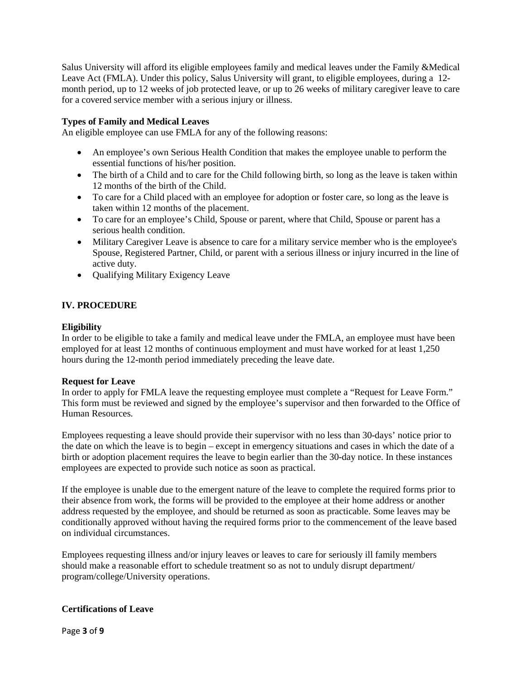Salus University will afford its eligible employees family and medical leaves under the Family &Medical Leave Act (FMLA). Under this policy, Salus University will grant, to eligible employees, during a 12-month period, up to 12 weeks of job protected leave, or up to 26 weeks of military caregiver leave to care for a covered service member with a serious injury or illness.

# **Types of Family and Medical Leaves**

An eligible employee can use FMLA for any of the following reasons:

- An employee's own Serious Health Condition that makes the employee unable to perform the essential functions of his/her position.
- The birth of a Child and to care for the Child following birth, so long as the leave is taken within 12 months of the birth of the Child.
- To care for a Child placed with an employee for adoption or foster care, so long as the leave is taken within 12 months of the placement.
- To care for an employee's Child, Spouse or parent, where that Child, Spouse or parent has a serious health condition.
- Military Caregiver Leave is absence to care for a military service member who is the employee's Spouse, Registered Partner, Child, or parent with a serious illness or injury incurred in the line of active duty.
- Qualifying Military Exigency Leave

# **IV. PROCEDURE**

### **Eligibility**

In order to be eligible to take a family and medical leave under the FMLA, an employee must have been employed for at least 12 months of continuous employment and must have worked for at least 1,250 hours during the 12-month period immediately preceding the leave date.

### **Request for Leave**

In order to apply for FMLA leave the requesting employee must complete a "Request for Leave Form." This form must be reviewed and signed by the employee's supervisor and then forwarded to the Office of Human Resources.

Employees requesting a leave should provide their supervisor with no less than 30-days' notice prior to the date on which the leave is to begin – except in emergency situations and cases in which the date of a birth or adoption placement requires the leave to begin earlier than the 30 day notice. In these instances employees are expected to provide such notice as soon as practical.

If the employee is unable due to the emergent nature of the leave to complete the required forms prior to their absence from work, the forms will be provided to the employee at their home address or another address requested by the employee, and should be returned as soon as practicable. Some leaves may be conditionally approved without having the required forms prior to the commencement of the leave based on individual circumstances.

Employees requesting illness and/or injury leaves or leaves to care for seriously ill family members should make a reasonable effort to schedule treatment so as not to unduly disrupt department/

program/college/University operations.

# **Certifications of Leave**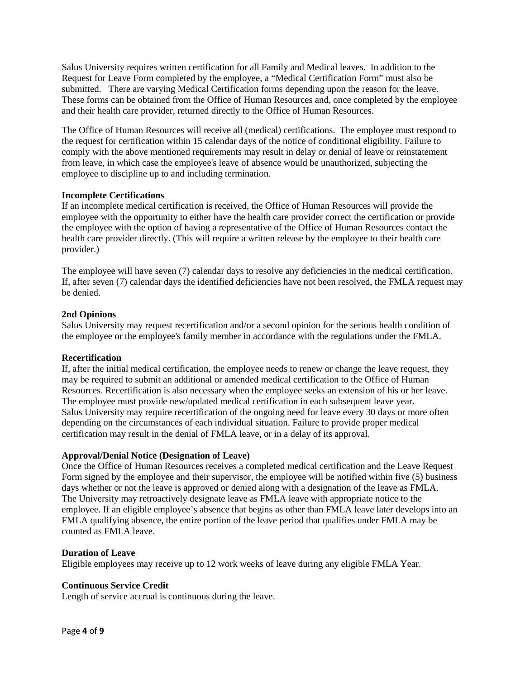Salus University requires written certification for all Family and Medical leaves. In addition to the Request for Leave Form completed by the employee, a "Medical Certification Form" must also be submitted. There are varying Medical Certification forms depending upon the reason for the leave. These forms can be obtained from the Office of Human Resources and, once completed by the employee and their health care provider, returned directly to the Office of Human Resources.

The Office of Human Resources will receive all (medical) certifications. The employee must respond to the request for certification within 15 calendar days of the notice of conditional eligibility. Failure to comply with the above mentioned requirements may result in delay or denial of leave or reinstatement from leave, in which case the employee's leave of absence would be unauthorized, subjecting the employee to discipline up to and including termination.

## **Incomplete Certifications**

If an incomplete medical certification is received, the Office of Human Resources will provide the employee with the opportunity to either have the health care provider correct the certification or provide the employee with the option of having a representative of the Office of Human Resources contact the health care provider directly. (This will require a written release by the employee to their health care provider.)

The employee will have seven (7) calendar days to resolve any deficiencies in the medical certification. If, after seven (7) calendar days the identified deficiencies have not been resolved, the FMLA request may be denied.

## **2nd Opinions**

Salus University may request recertification and/or a second opinion for the serious health condition of the employee or the employee's family member in accordance with the regulations under the FMLA.

# **Recertification**

If, after the initial medical certification, the employee needs to renew or change the leave request, they may be required to submit an additional or amended medical certification to the Office of Human Resources. Recertification is also necessary when the employee seeks an extension of his or her leave. The employee must provide new/updated medical certification in each subsequent leave year.

Salus University may require recertification of the ongoing need for leave every 30 days or more often depending on the circumstances of each individual situation. Failure to provide proper medical certification may result in the denial of FMLA leave, or in a delay of its approval.

# **Approval/Denial Notice (Designation of Leave)**

Once the Office of Human Resources receives a completed medical certification and the Leave Request Form signed by the employee and their supervisor, the employee will be notified within five (5) business days whether or not the leave is approved or denied along with a designation of the leave as FMLA. The University may retroactively designate leave as FMLA leave with appropriate notice to the employee. If an eligible employee's absence that begins as other than FMLA leave later develops into an FMLA qualifying absence, the entire portion of the leave period that qualifies under FMLA may be counted as FMLA leave.

### **Duration of Leave**

Eligible employees may receive up to 12 work weeks of leave during any eligible FMLA Year.

# **Continuous Service Credit**

Length of service accrual is continuous during the leave.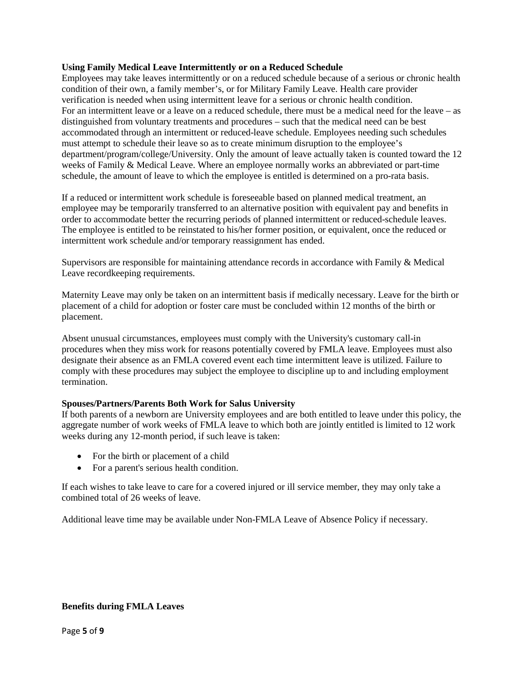# **Using Family Medical Leave Intermittently or on a Reduced Schedule**

Employees may take leaves intermittently or on a reduced schedule because of a serious or chronic health condition of their own, a family member's, or for Military Family Leave. Health care provider verification is needed when using intermittent leave for a serious or chronic health condition.

For an intermittent leave or a leave on a reduced schedule, there must be a medical need for the leave – as distinguished from voluntary treatments and procedures – such that the medical need can be best accommodated through an intermittent or reduced-leave schedule. Employees needing such schedules must attempt to schedule their leave so as to create minimum disruption to the employee's

department/program/college/University. Only the amount of leave actually taken is counted toward the 12 weeks of Family & Medical Leave. Where an employee normally works an abbreviated or part-time schedule, the amount of leave to which the employee is entitled is determined on a pro-rata basis.

If a reduced or intermittent work schedule is foreseeable based on planned medical treatment, an employee may be temporarily transferred to an alternative position with equivalent pay and benefits in order to accommodate better the recurring periods of planned intermittent or reduced-schedule leaves. The employee is entitled to be reinstated to his/her former position, or equivalent, once the reduced or intermittent work schedule and/or temporary reassignment has ended.

Supervisors are responsible for maintaining attendance records in accordance with Family & Medical Leave recordkeeping requirements.

Maternity Leave may only be taken on an intermittent basis if medically necessary. Leave for the birth or placement of a child for adoption or foster care must be concluded within 12 months of the birth or placement.

Absent unusual circumstances, employees must comply with the University's customary call-in procedures when they miss work for reasons potentially covered by FMLA leave. Employees must also designate their absence as an FMLA covered event each time intermittent leave is utilized. Failure to comply with these procedures may subject the employee to discipline up to and including employment termination.

# **Spouses/Partners/Parents Both Work for Salus University**

If both parents of a newborn are University employees and are both entitled to leave under this policy, the aggregate number of work weeks of FMLA leave to which both are jointly entitled is limited to 12 work weeks during any 12-month period, if such leave is taken:

- For the birth or placement of a child
- For a parent's serious health condition.

If each wishes to take leave to care for a covered injured or ill service member, they may only take a combined total of 26 weeks of leave.

Additional leave time may be available under Non-FMLA Leave of Absence Policy if necessary.

# **Benefits during FMLA**

**Leaves** Page **5** of **9**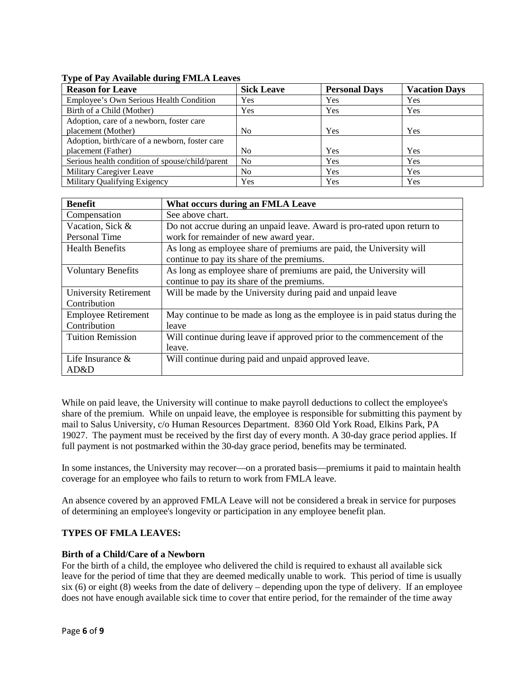# **Type of Pay Available during FMLA Leaves**

| <b>Reason for Leave</b>                                              | <b>Sick Leave</b> | <b>Personal Days</b> | <b>Vacation Days</b> |
|----------------------------------------------------------------------|-------------------|----------------------|----------------------|
| Employee's Own Serious Health Condition                              | Yes               | Yes                  | Yes                  |
| Birth of a Child (Mother)                                            | Yes               | Yes                  | Yes                  |
| Adoption, care of a newborn, foster care<br>placement (Mother)       | No                | Yes                  | Yes                  |
| Adoption, birth/care of a newborn, foster care<br>placement (Father) | No                | Yes                  | Yes                  |
| Serious health condition of spouse/child/parent                      | No                | Yes                  | Yes                  |
| <b>Military Caregiver Leave</b>                                      | No                | Yes                  | Yes                  |
| <b>Military Qualifying Exigency</b>                                  | Yes               | Yes                  | Yes                  |

| <b>Benefit</b>               | <b>What occurs during an FMLA Leave</b>                           |
|------------------------------|-------------------------------------------------------------------|
| Compensation                 | See above chart.                                                  |
| Vacation, Sick &             | Do not accrue during an unpaid leave. Award is pro-rated upon     |
| <b>Personal Time</b>         | return to work for remainder of new award year.                   |
| <b>Health Benefits</b>       | As long as employee share of premiums are paid, the               |
|                              | University will continue to pay its share of the premiums.        |
| <b>Voluntary Benefits</b>    | As long as employee share of premiums are paid, the               |
|                              | University will continue to pay its share of the premiums.        |
| <b>University Retirement</b> | Will be made by the University during paid and unpaid leave       |
| Contribution                 |                                                                   |
| <b>Employee Retirement</b>   | May continue to be made as long as the employee is in paid status |
| Contribution                 | during the leave                                                  |
| <b>Tuition Remission</b>     | Will continue during leave if approved prior to the commencement  |
|                              | of the leave.                                                     |
| Life Insurance               | Will continue during paid and unpaid approved leave.              |
| & AD&D                       |                                                                   |

While on paid leave, the University will continue to make payroll deductions to collect the employee's share of the premium. While on unpaid leave, the employee is responsible for submitting this payment by mail to Salus University, c/o Human Resources Department. 8360 Old York Road, Elkins Park, PA 19027. The payment must be received by the first day of every month. A 30-day grace period applies. If full payment is not postmarked within the 30-day grace period, benefits may be terminated.

In some instances, the University may recover—on a prorated basis—premiums it paid to maintain health coverage for an employee who fails to return to work from FMLA leave.

An absence covered by an approved FMLA Leave will not be considered a break in service for purposes of determining an employee's longevity or participation in any employee benefit plan.

# **TYPES OF FMLA LEAVES:**

# **Birth of a Child/Care of a Newborn**

For the birth of a child, the employee who delivered the child is required to exhaust all available sick leave for the period of time that they are deemed medically unable to work. This period of time is usually six (6) or eight (8) weeks from the date of delivery – depending upon the type of delivery. If an employee does not have enough available sick time to cover that entire period, for the remainder of the time away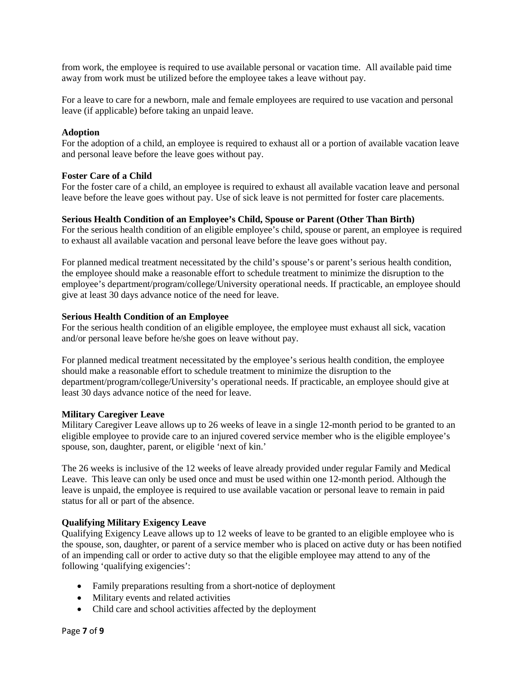from work, the employee is required to use available personal or vacation time. All available paid time away from work must be utilized before the employee takes a leave without pay.

For a leave to care for a newborn, male and female employees are required to use vacation and personal leave (if applicable) before taking an unpaid leave.

## **Adoption**

For the adoption of a child, an employee is required to exhaust all or a portion of available vacation leave and personal leave before the leave goes without pay.

# **Foster Care of a Child**

For the foster care of a child, an employee is required to exhaust all available vacation leave and personal leave before the leave goes without pay. Use of sick leave is not permitted for foster care placements.

# **Serious Health Condition of an Employee's Child, Spouse or Parent (Other Than Birth)**

For the serious health condition of an eligible employee's child, spouse or parent, an employee is required to exhaust all available vacation and personal leave before the leave goes without pay.

For planned medical treatment necessitated by the child's spouse's or parent's serious health condition, the employee should make a reasonable effort to schedule treatment to minimize the disruption to the employee's department/program/college/University operational needs. If practicable, an employee should give at least 30 days advance notice of the need for leave.

## **Serious Health Condition of an Employee**

For the serious health condition of an eligible employee, the employee must exhaust all sick, vacation and/or personal leave before he/she goes on leave without pay.

For planned medical treatment necessitated by the employee's serious health condition, the employee should make a reasonable effort to schedule treatment to minimize the disruption to the department/program/college/University's operational needs. If practicable, an employee should give at least 30 days advance notice of the need for leave.

### **Military Caregiver Leave**

Military Caregiver Leave allows up to 26 weeks of leave in a single 12-month period to be granted to an eligible employee to provide care to an injured covered service member who is the eligible employee's spouse, son, daughter, parent, or eligible 'next of kin.'

The 26 weeks is inclusive of the 12 weeks of leave already provided under regular Family and Medical Leave. This leave can only be used once and must be used within one 12-month period. Although the leave is unpaid, the employee is required to use available vacation or personal leave to remain in paid status for all or part of the absence.

# **Qualifying Military Exigency Leave**

Qualifying Exigency Leave allows up to 12 weeks of leave to be granted to an eligible employee who is the spouse, son, daughter, or parent of a service member who is placed on active duty or has been notified of an impending call or order to active duty so that the eligible employee may attend to any of the following 'qualifying exigencies':

- Family preparations resulting from a short-notice of deployment
- Military events and related activities
- Child care and school activities affected by the deployment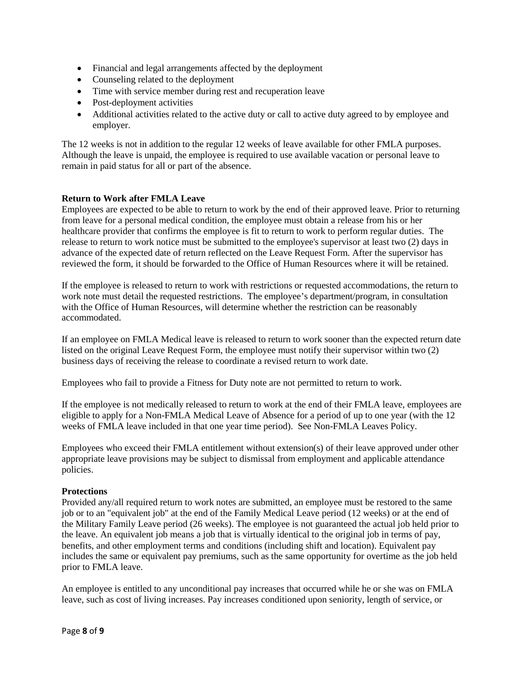- Financial and legal arrangements affected by the deployment
- Counseling related to the deployment
- Time with service member during rest and recuperation leave
- Post-deployment activities
- Additional activities related to the active duty or call to active duty agreed to by employee and employer.

The 12 weeks is not in addition to the regular 12 weeks of leave available for other FMLA purposes. Although the leave is unpaid, the employee is required to use available vacation or personal leave to remain in paid status for all or part of the absence.

## **Return to Work after FMLA Leave**

Employees are expected to be able to return to work by the end of their approved leave. Prior to returning from leave for a personal medical condition, the employee must obtain a release from his or her healthcare provider that confirms the employee is fit to return to work to perform regular duties. The release to return to work notice must be submitted to the employee's supervisor at least two (2) days in advance of the expected date of return reflected on the Leave Request Form. After the supervisor has reviewed the form, it should be forwarded to the Office of Human Resources where it will be retained.

If the employee is released to return to work with restrictions or requested accommodations, the return to work note must detail the requested restrictions. The employee's department/ program, in consultation with the Office of Human Resources, will determine whether the restriction can be reasonably accommodated.

If an employee on FMLA Medical leave is released to return to work sooner than the expected return date listed on the original Leave Request Form, the employee must notify their supervisor within two (2) business days of receiving the release to coordinate a revised return to work date.

Employees who fail to provide a Fitness for Duty note are not permitted to return to work.

If the employee is not medically released to return to work at the end of their FMLA leave, employees are eligible to apply for a Non-FMLA Medical Leave of Absence for a period of up to one year (with the 12 weeks of FMLA leave included in that one year time period). See Non-FMLA Leaves Policy.

Employees who exceed their FMLA entitlement without extension(s) of their leave approved under other appropriate leave provisions may be subject to dismissal from employment and applicable attendance policies.

### **Protections**

Provided any/all required return to work notes are submitted, an employee must be restored to the same job or to an "equivalent job" at the end of the Family Medical Leave period (12 weeks) or at the end of the Military Family Leave period (26 weeks). The employee is not guaranteed the actual job held prior to the leave. An equivalent job means a job that is virtually identical to the original job in terms of pay, benefits, and other employment terms and conditions (including shift and location). Equivalent pay includes the same or equivalent pay premiums, such as the same opportunity for overtime as the job held prior to FMLA leave.

An employee is entitled to any unconditional pay increases that occurred while he or she was on FMLA leave, such as cost of living increases. Pay increases conditioned upon seniority, length of service, or